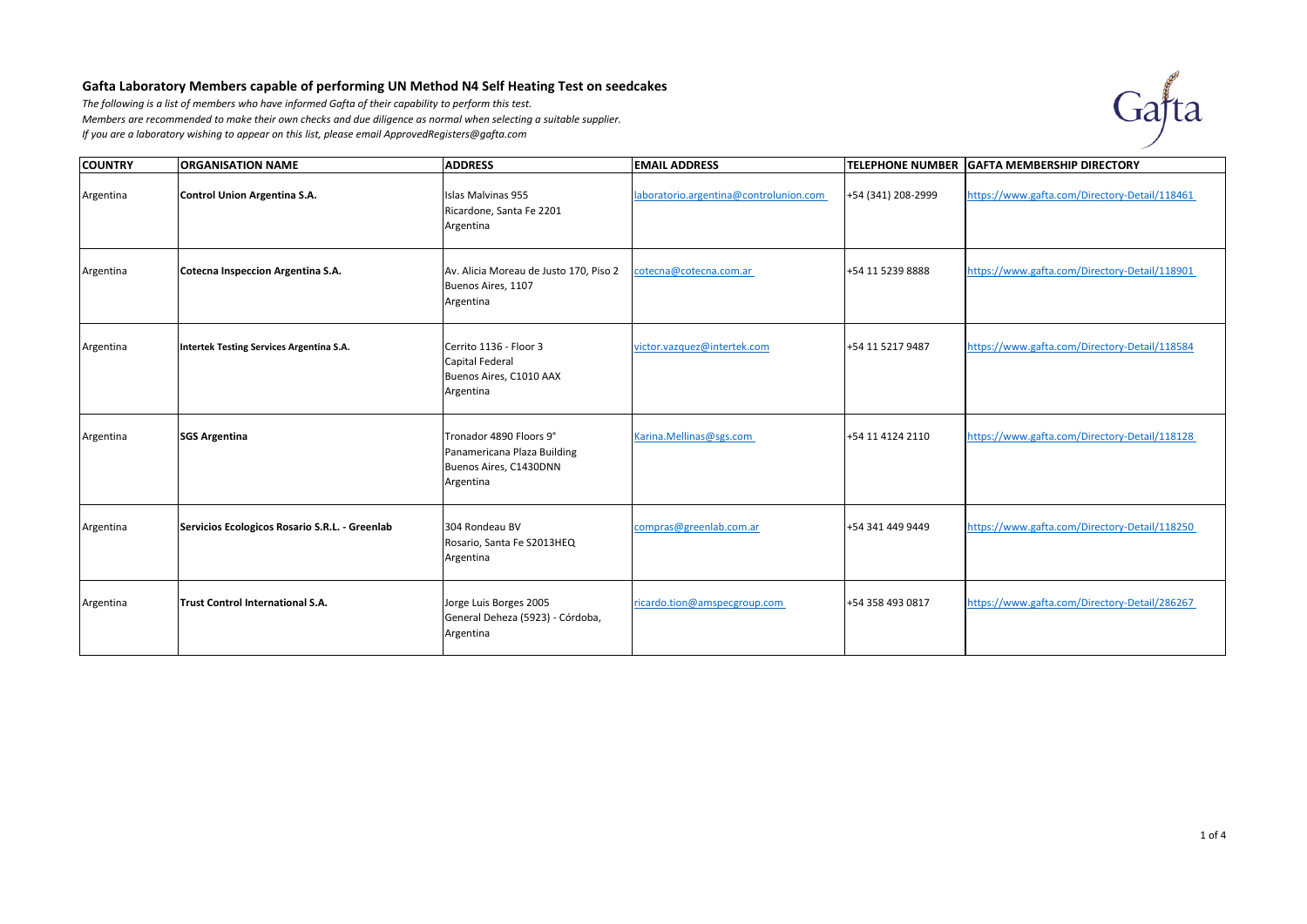## **Gafta Laboratory Members capable of performing UN Method N4 Self Heating Test on seedcakes**

*The following is a list of members who have informed Gafta of their capability to perform this test. Members are recommended to make their own checks and due diligence as normal when selecting a suitable supplier. If you are a laboratory wishing to appear on this list, please email ApprovedRegisters@gafta.com* 



| <b>COUNTRY</b> | <b>ORGANISATION NAME</b>                       | <b>ADDRESS</b>                                                                                | <b>EMAIL ADDRESS</b>                   |                    | TELEPHONE NUMBER GAFTA MEMBERSHIP DIRECTORY   |
|----------------|------------------------------------------------|-----------------------------------------------------------------------------------------------|----------------------------------------|--------------------|-----------------------------------------------|
| Argentina      | Control Union Argentina S.A.                   | Islas Malvinas 955<br>Ricardone, Santa Fe 2201<br>Argentina                                   | laboratorio.argentina@controlunion.com | +54 (341) 208-2999 | https://www.gafta.com/Directory-Detail/118461 |
| Argentina      | Cotecna Inspeccion Argentina S.A.              | Av. Alicia Moreau de Justo 170, Piso 2<br>Buenos Aires, 1107<br>Argentina                     | cotecna@cotecna.com.ar                 | +54 11 5239 8888   | https://www.gafta.com/Directory-Detail/118901 |
| Argentina      | Intertek Testing Services Argentina S.A.       | Cerrito 1136 - Floor 3<br>Capital Federal<br>Buenos Aires, C1010 AAX<br>Argentina             | victor.vazquez@intertek.com            | +54 11 5217 9487   | https://www.gafta.com/Directory-Detail/118584 |
| Argentina      | <b>SGS Argentina</b>                           | Tronador 4890 Floors 9°<br>Panamericana Plaza Building<br>Buenos Aires, C1430DNN<br>Argentina | Karina.Mellinas@sgs.com                | +54 11 4124 2110   | https://www.gafta.com/Directory-Detail/118128 |
| Argentina      | Servicios Ecologicos Rosario S.R.L. - Greenlab | 304 Rondeau BV<br>Rosario, Santa Fe S2013HEQ<br>Argentina                                     | compras@greenlab.com.ar                | +54 341 449 9449   | https://www.gafta.com/Directory-Detail/118250 |
| Argentina      | Trust Control International S.A.               | Jorge Luis Borges 2005<br>General Deheza (5923) - Córdoba,<br>Argentina                       | ricardo.tion@amspecgroup.com           | +54 358 493 0817   | https://www.gafta.com/Directory-Detail/286267 |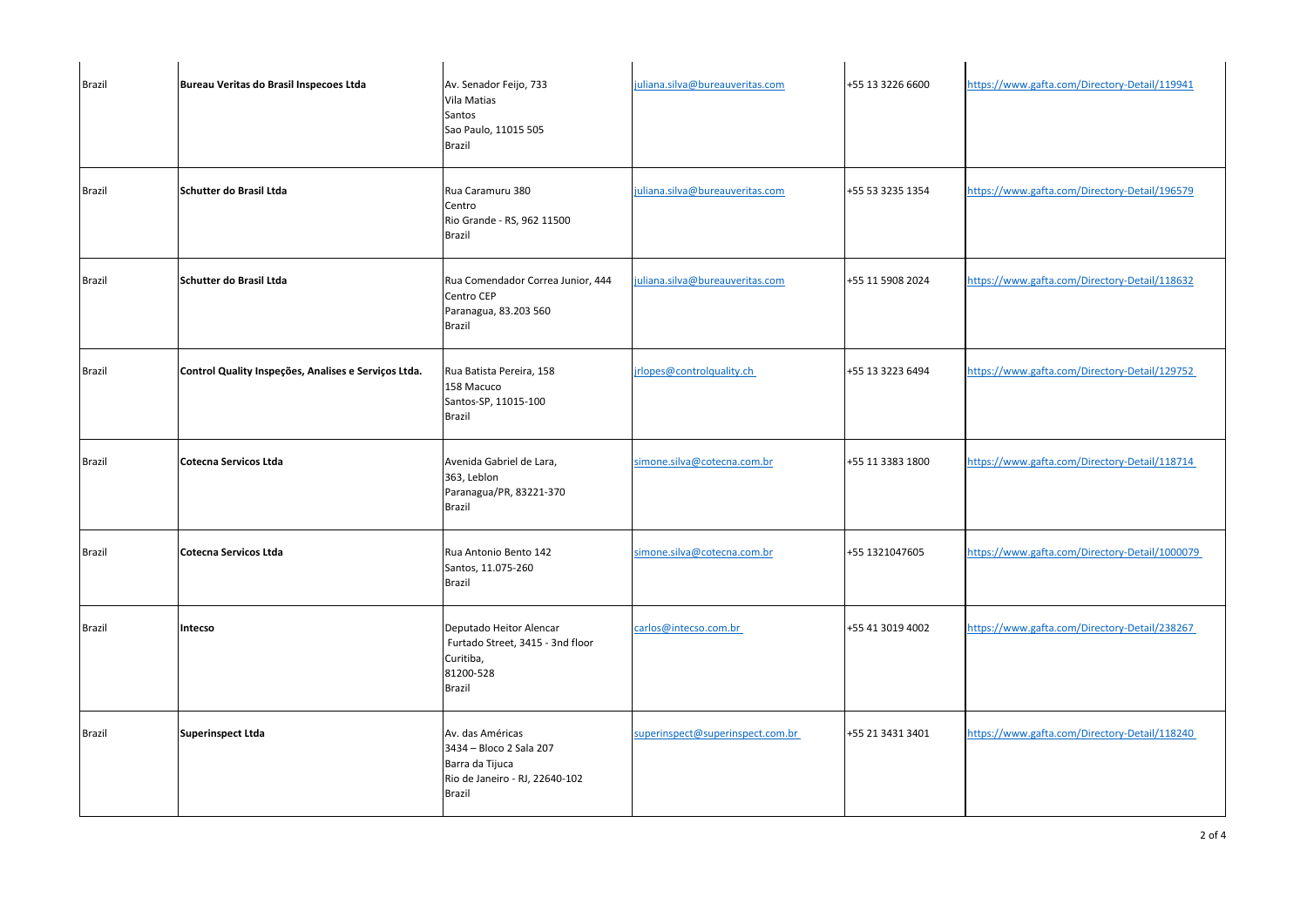| <b>Brazil</b> | Bureau Veritas do Brasil Inspecoes Ltda              | Av. Senador Feijo, 733<br>Vila Matias<br>Santos<br>Sao Paulo, 11015 505<br><b>Brazil</b>                   | juliana.silva@bureauveritas.com  | +55 13 3226 6600 | https://www.gafta.com/Directory-Detail/119941  |
|---------------|------------------------------------------------------|------------------------------------------------------------------------------------------------------------|----------------------------------|------------------|------------------------------------------------|
| <b>Brazil</b> | Schutter do Brasil Ltda                              | Rua Caramuru 380<br>Centro<br>Rio Grande - RS, 962 11500<br><b>Brazil</b>                                  | juliana.silva@bureauveritas.com  | +55 53 3235 1354 | https://www.gafta.com/Directory-Detail/196579  |
| <b>Brazil</b> | <b>Schutter do Brasil Ltda</b>                       | Rua Comendador Correa Junior, 444<br>Centro CEP<br>Paranagua, 83.203 560<br>Brazil                         | juliana.silva@bureauveritas.com  | +55 11 5908 2024 | https://www.gafta.com/Directory-Detail/118632  |
| <b>Brazil</b> | Control Quality Inspeções, Analises e Serviços Ltda. | Rua Batista Pereira, 158<br>158 Macuco<br>Santos-SP, 11015-100<br>Brazil                                   | jrlopes@controlquality.ch        | +55 13 3223 6494 | https://www.gafta.com/Directory-Detail/129752  |
| <b>Brazil</b> | Cotecna Servicos Ltda                                | Avenida Gabriel de Lara,<br>363, Leblon<br>Paranagua/PR, 83221-370<br>Brazil                               | simone.silva@cotecna.com.br      | +55 11 3383 1800 | https://www.gafta.com/Directory-Detail/118714  |
| <b>Brazil</b> | <b>Cotecna Servicos Ltda</b>                         | Rua Antonio Bento 142<br>Santos, 11.075-260<br>Brazil                                                      | simone.silva@cotecna.com.br      | +55 1321047605   | https://www.gafta.com/Directory-Detail/1000079 |
| <b>Brazil</b> | Intecso                                              | Deputado Heitor Alencar<br>Furtado Street, 3415 - 3nd floor<br>Curitiba,<br>81200-528<br><b>Brazil</b>     | carlos@intecso.com.br            | +55 41 3019 4002 | https://www.gafta.com/Directory-Detail/238267  |
| <b>Brazil</b> | <b>Superinspect Ltda</b>                             | Av. das Américas<br>3434 - Bloco 2 Sala 207<br>Barra da Tijuca<br>Rio de Janeiro - RJ, 22640-102<br>Brazil | superinspect@superinspect.com.br | +55 21 3431 3401 | https://www.gafta.com/Directory-Detail/118240  |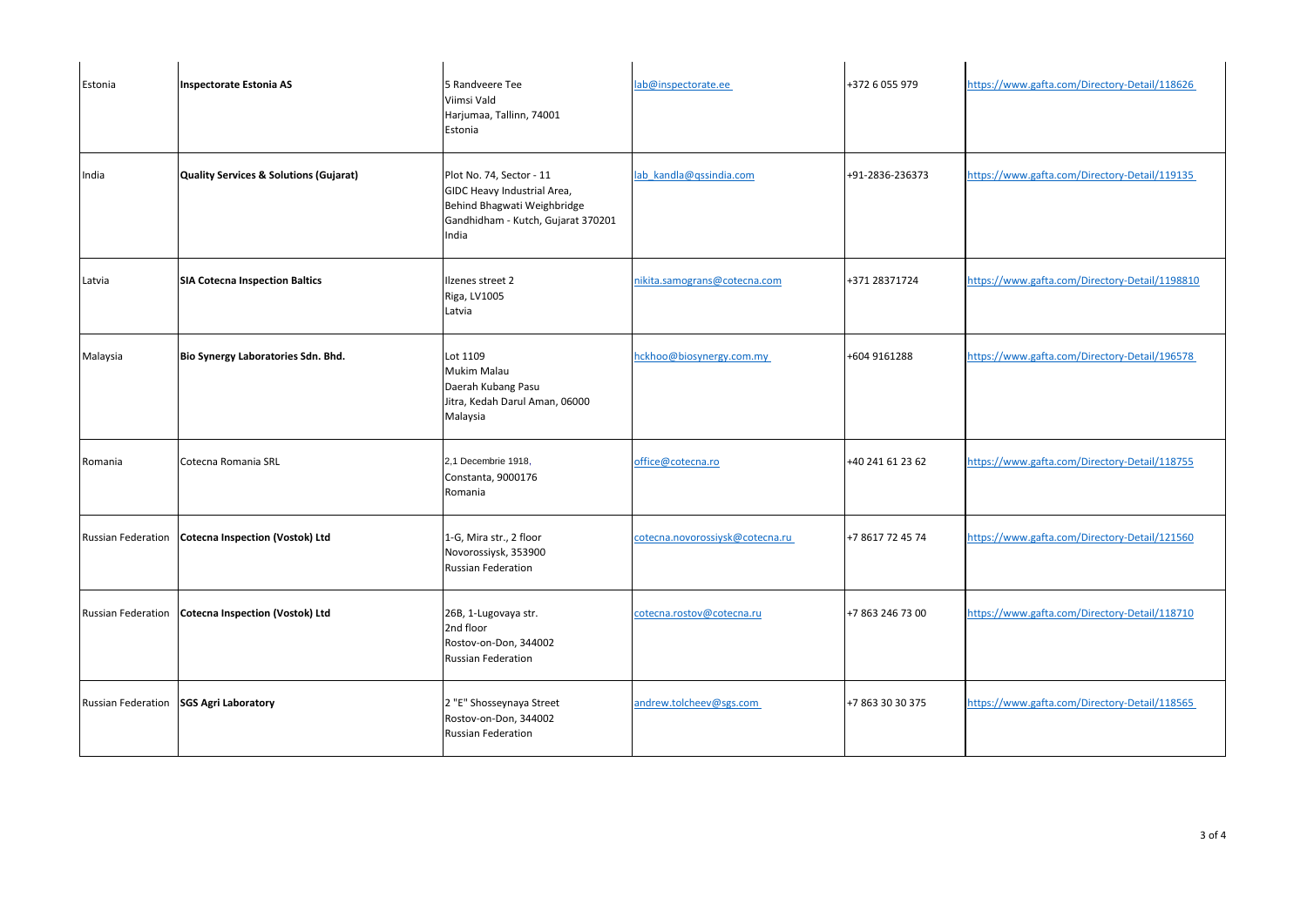| Estonia                   | <b>Inspectorate Estonia AS</b>                    | 5 Randveere Tee<br>Viimsi Vald<br>Harjumaa, Tallinn, 74001<br>Estonia                                                                 | lab@inspectorate.ee             | +372 6 055 979   | https://www.gafta.com/Directory-Detail/118626  |
|---------------------------|---------------------------------------------------|---------------------------------------------------------------------------------------------------------------------------------------|---------------------------------|------------------|------------------------------------------------|
| India                     | <b>Quality Services &amp; Solutions (Gujarat)</b> | Plot No. 74, Sector - 11<br>GIDC Heavy Industrial Area,<br>Behind Bhagwati Weighbridge<br>Gandhidham - Kutch, Gujarat 370201<br>India | lab kandla@qssindia.com         | +91-2836-236373  | https://www.gafta.com/Directory-Detail/119135  |
| Latvia                    | <b>SIA Cotecna Inspection Baltics</b>             | Ilzenes street 2<br>Riga, LV1005<br>Latvia                                                                                            | nikita.samograns@cotecna.com    | +371 28371724    | https://www.gafta.com/Directory-Detail/1198810 |
| Malaysia                  | Bio Synergy Laboratories Sdn. Bhd.                | Lot 1109<br>Mukim Malau<br>Daerah Kubang Pasu<br>Jitra, Kedah Darul Aman, 06000<br>Malaysia                                           | hckhoo@biosynergy.com.my        | +604 9161288     | https://www.gafta.com/Directory-Detail/196578  |
| Romania                   | Cotecna Romania SRL                               | 2,1 Decembrie 1918,<br>Constanta, 9000176<br>Romania                                                                                  | office@cotecna.ro               | +40 241 61 23 62 | https://www.gafta.com/Directory-Detail/118755  |
| <b>Russian Federation</b> | <b>Cotecna Inspection (Vostok) Ltd</b>            | 1-G, Mira str., 2 floor<br>Novorossiysk, 353900<br><b>Russian Federation</b>                                                          | cotecna.novorossiysk@cotecna.ru | +7 8617 72 45 74 | https://www.gafta.com/Directory-Detail/121560  |
| <b>Russian Federation</b> | <b>Cotecna Inspection (Vostok) Ltd</b>            | 26B, 1-Lugovaya str.<br>2nd floor<br>Rostov-on-Don, 344002<br><b>Russian Federation</b>                                               | cotecna.rostov@cotecna.ru       | +7 863 246 73 00 | https://www.gafta.com/Directory-Detail/118710  |
| <b>Russian Federation</b> | <b>SGS Agri Laboratory</b>                        | 2 "E" Shosseynaya Street<br>Rostov-on-Don, 344002<br><b>Russian Federation</b>                                                        | andrew.tolcheev@sgs.com         | +7 863 30 30 375 | https://www.gafta.com/Directory-Detail/118565  |